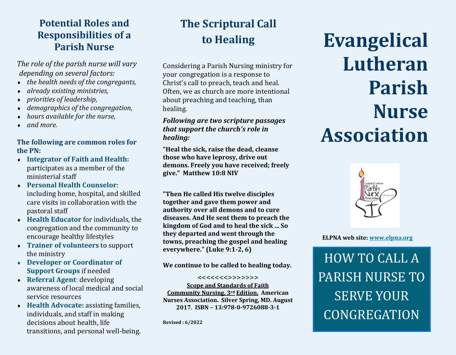## **Potential Roles and Responsibilities of a Parish Nurse**

*The role of the parish nurse will vary depending on several factors:*

- *the health needs of the congregants,*
- *already existing ministries,*
- *priorities of leadership,*
- *demographics of the congregation,*
- *hours available for the nurse,*
- *and more.*

#### **The following are common roles for the PN:**

- **Integrator of Faith and Health:**  participates as a member of the ministerial staff
- **Personal Health Counselor**: including home, hospital, and skilled care visits in collaboration with the pastoral staff
- **Health Educator** for individuals, the congregation and the community to encourage healthy lifestyles
- **Trainer of volunteers** to support the ministry
- **Developer or Coordinator of Support Groups** if needed
- **Referral Agent**: developing awareness of local medical and social service resources
- **Health Advocate:** assisting families, individuals, and staff in making decisions about health, life transitions, and personal well-being.

# **The Scriptural Call to Healing**

Considering a Parish Nursing ministry for your congregation is a response to Christ's call to preach, teach and heal. Often, we as church are more intentional about preaching and teaching, than healing.

#### *Following are two scripture passages that support the church's role in healing:*

**"Heal the sick, raise the dead, cleanse those who have leprosy, drive out demons. Freely you have received; freely give." Matthew 10:8 NIV**

**"Then He called His twelve disciples together and gave them power and authority over all demons and to cure diseases. And He sent them to preach the kingdom of God and to heal the sick ... So they departed and went through the towns, preaching the gospel and healing everywhere." (Luke 9:1-2, 6)**

**We continue to be called to healing today.** 

#### <<<<<<<>>>>>>>

**Scope and Standards of Faith Community Nursing, 3rd Edition. American Nurses Association. Silver Spring, MD. August 2017. ISBN – 13:978-0-9726088-3-1**

**Revised : 6/2022**

# **Evangelical Lutheran Parish Nurse Association**



#### **ELPNA web site: [www.elpna.org](http://www.elpna.org)**

HOW TO CALL A PARISH NURSE TO SERVE YOUR CONGREGATION